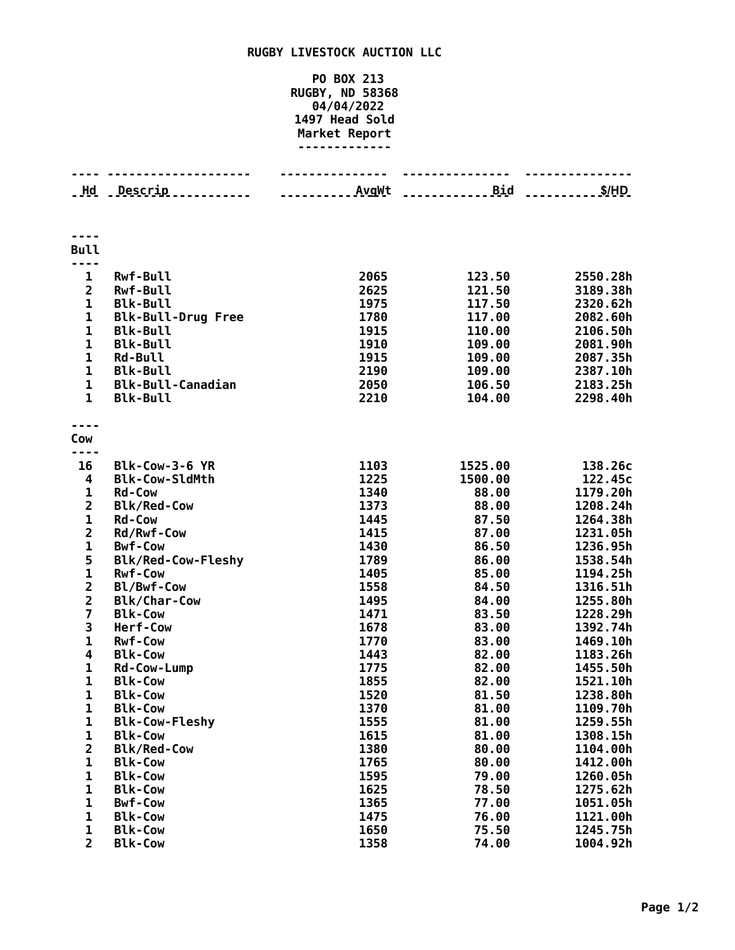## **RUGBY LIVESTOCK AUCTION LLC**

## **PO BOX 213 RUGBY, ND 58368 04/04/2022 Head Sold Market Report -------------**

|                         | <u>.</u>                         | .            |                |                      |
|-------------------------|----------------------------------|--------------|----------------|----------------------|
| Hd                      | Descrip                          |              | <b>Bid</b>     | S/HD                 |
|                         |                                  |              |                |                      |
|                         |                                  |              |                |                      |
| <b>Bull</b>             |                                  |              |                |                      |
| $\mathbf{1}$            | <b>Rwf-Bull</b>                  | 2065         | 123.50         | 2550.28h             |
| $\overline{2}$          | <b>Rwf-Bull</b>                  | 2625         | 121.50         | 3189.38h             |
| $\mathbf{1}$            | <b>Blk-Bull</b>                  | 1975         | 117.50         | 2320.62h             |
| $\mathbf{1}$            | <b>Blk-Bull-Drug Free</b>        | 1780         | 117.00         | 2082.60h             |
| $\mathbf{1}$            | <b>Blk-Bull</b>                  | 1915         | 110.00         | 2106.50h             |
| $\mathbf{1}$            | <b>Blk-Bull</b>                  | 1910         | 109.00         | 2081.90h             |
| 1                       | <b>Rd-Bull</b>                   | 1915         | 109.00         | 2087.35h             |
| 1                       | <b>Blk-Bull</b>                  | 2190         | 109.00         | 2387.10h             |
| $\mathbf{1}$            | <b>Blk-Bull-Canadian</b>         | 2050         | 106.50         | 2183.25h             |
| $\mathbf{1}$            | <b>Blk-Bull</b>                  | 2210         | 104.00         | 2298.40h             |
|                         |                                  |              |                |                      |
| Cow                     |                                  |              |                |                      |
| 16                      | Blk-Cow-3-6 YR                   | 1103         | 1525.00        | 138.26c              |
| 4                       | <b>Blk-Cow-SldMth</b>            | 1225         | 1500.00        | 122.45c              |
| 1                       | <b>Rd-Cow</b>                    | 1340         | 88.00          | 1179.20h             |
| $\overline{2}$          | <b>Blk/Red-Cow</b>               | 1373         | 88.00          | 1208.24h             |
| $\mathbf{1}$            | <b>Rd-Cow</b>                    | 1445         | 87.50          | 1264.38h             |
| $\overline{2}$          | Rd/Rwf-Cow                       | 1415         | 87.00          | 1231.05h             |
| $\mathbf{1}$            | <b>Bwf-Cow</b>                   | 1430         | 86.50          | 1236.95h             |
| 5                       | <b>Blk/Red-Cow-Fleshy</b>        | 1789         | 86.00          | 1538.54h             |
| $\mathbf{1}$            | <b>Rwf-Cow</b>                   | 1405         | 85.00          | 1194.25h             |
| $\overline{2}$          | Bl/Bwf-Cow                       | 1558         | 84.50          | 1316.51h             |
| $\overline{2}$          | <b>Blk/Char-Cow</b>              | 1495         | 84.00          | 1255.80h             |
| $\overline{\mathbf{z}}$ | <b>Blk-Cow</b>                   | 1471         | 83.50          | 1228.29h             |
| 3                       | Herf-Cow                         | 1678         | 83.00          | 1392.74h             |
| $\mathbf{1}$            | <b>Rwf-Cow</b>                   | 1770         | 83.00          | 1469.10h             |
| 4                       | <b>Blk-Cow</b>                   | 1443         | 82.00          | 1183.26h             |
| $\mathbf{1}$            | Rd-Cow-Lump                      | 1775         | 82.00          | 1455.50h             |
| $\mathbf{1}$            | <b>Blk-Cow</b>                   | 1855         | 82.00          | 1521.10h             |
| 1                       | <b>Blk-Cow</b><br><b>Blk-Cow</b> | 1520<br>1370 | 81.50          | 1238.80h             |
| 1<br>1                  | <b>Blk-Cow-Fleshy</b>            | 1555         | 81.00<br>81.00 | 1109.70h<br>1259.55h |
| 1                       | <b>Blk-Cow</b>                   | 1615         | 81.00          | 1308.15h             |
| $\overline{\mathbf{2}}$ | <b>Blk/Red-Cow</b>               | 1380         | 80.00          | 1104.00h             |
| 1                       | <b>Blk-Cow</b>                   | 1765         | 80.00          | 1412.00h             |
| 1                       | <b>Blk-Cow</b>                   | 1595         | 79.00          | 1260.05h             |
| 1                       | <b>Blk-Cow</b>                   | 1625         | 78.50          | 1275.62h             |
| 1                       | <b>Bwf-Cow</b>                   | 1365         | 77.00          | 1051.05h             |
| 1                       | <b>Blk-Cow</b>                   | 1475         | 76.00          | 1121.00h             |
| 1                       | <b>Blk-Cow</b>                   | 1650         | 75.50          | 1245.75h             |
| $\overline{2}$          | <b>Blk-Cow</b>                   | 1358         | 74.00          | 1004.92h             |